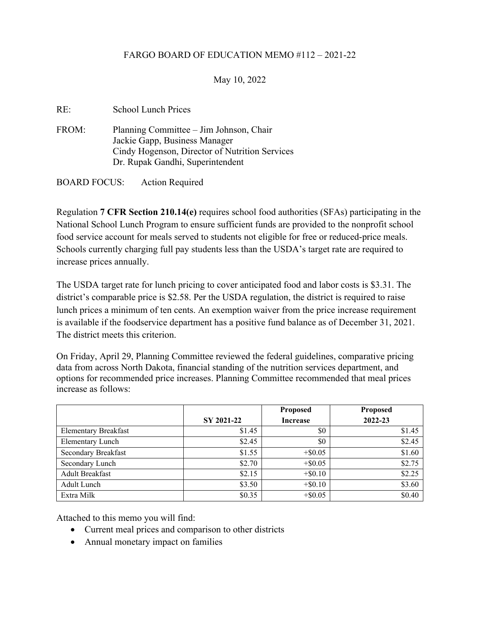## FARGO BOARD OF EDUCATION MEMO #112 – 2021-22

## May 10, 2022

| RE:                 | <b>School Lunch Prices</b>                                                                                                                                     |
|---------------------|----------------------------------------------------------------------------------------------------------------------------------------------------------------|
| FROM:               | Planning Committee – Jim Johnson, Chair<br>Jackie Gapp, Business Manager<br>Cindy Hogenson, Director of Nutrition Services<br>Dr. Rupak Gandhi, Superintendent |
| <b>BOARD FOCUS:</b> | <b>Action Required</b>                                                                                                                                         |

Regulation **7 CFR Section 210.14(e)** requires school food authorities (SFAs) participating in the National School Lunch Program to ensure sufficient funds are provided to the nonprofit school food service account for meals served to students not eligible for free or reduced-price meals. Schools currently charging full pay students less than the USDA's target rate are required to increase prices annually.

The USDA target rate for lunch pricing to cover anticipated food and labor costs is \$3.31. The district's comparable price is \$2.58. Per the USDA regulation, the district is required to raise lunch prices a minimum of ten cents. An exemption waiver from the price increase requirement is available if the foodservice department has a positive fund balance as of December 31, 2021. The district meets this criterion.

On Friday, April 29, Planning Committee reviewed the federal guidelines, comparative pricing data from across North Dakota, financial standing of the nutrition services department, and options for recommended price increases. Planning Committee recommended that meal prices increase as follows:

|                             |            | <b>Proposed</b> | <b>Proposed</b> |
|-----------------------------|------------|-----------------|-----------------|
|                             | SY 2021-22 | <b>Increase</b> | 2022-23         |
| <b>Elementary Breakfast</b> | \$1.45     | \$0             | \$1.45          |
| <b>Elementary Lunch</b>     | \$2.45     | \$0             | \$2.45          |
| Secondary Breakfast         | \$1.55     | $+$ \$0.05      | \$1.60          |
| Secondary Lunch             | \$2.70     | $+$ \$0.05      | \$2.75          |
| <b>Adult Breakfast</b>      | \$2.15     | $+$ \$0.10      | \$2.25          |
| Adult Lunch                 | \$3.50     | $+$ \$0.10      | \$3.60          |
| Extra Milk                  | \$0.35     | $+$ \$0.05      | \$0.40          |

Attached to this memo you will find:

- Current meal prices and comparison to other districts
- Annual monetary impact on families